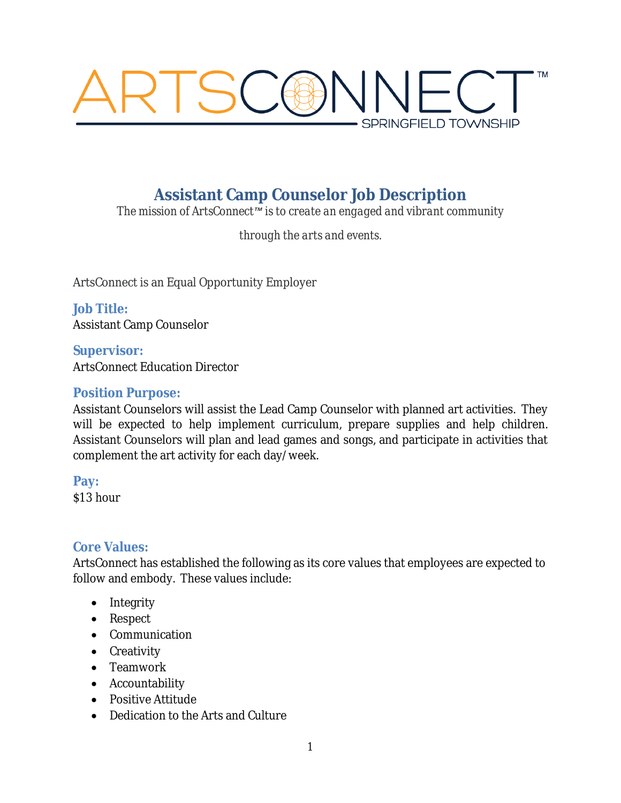

# **Assistant Camp Counselor Job Description**

*The mission of ArtsConnect™ is to create an engaged and vibrant community*

*through the arts and events.*

ArtsConnect is an Equal Opportunity Employer

**Job Title:** Assistant Camp Counselor

**Supervisor:** ArtsConnect Education Director

#### **Position Purpose:**

Assistant Counselors will assist the Lead Camp Counselor with planned art activities. They will be expected to help implement curriculum, prepare supplies and help children. Assistant Counselors will plan and lead games and songs, and participate in activities that complement the art activity for each day/week.

**Pay:**

\$13 hour

## **Core Values:**

ArtsConnect has established the following as its core values that employees are expected to follow and embody. These values include:

- Integrity
- Respect
- Communication
- Creativity
- Teamwork
- Accountability
- Positive Attitude
- Dedication to the Arts and Culture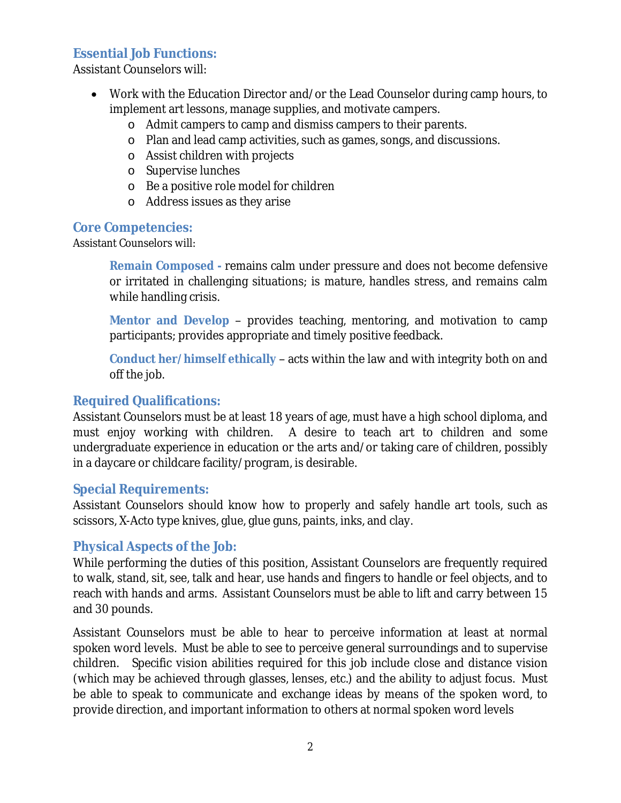#### **Essential Job Functions:**

Assistant Counselors will:

- Work with the Education Director and/or the Lead Counselor during camp hours, to implement art lessons, manage supplies, and motivate campers.
	- o Admit campers to camp and dismiss campers to their parents.
	- o Plan and lead camp activities, such as games, songs, and discussions.
	- o Assist children with projects
	- o Supervise lunches
	- o Be a positive role model for children
	- o Address issues as they arise

#### **Core Competencies:**

Assistant Counselors will:

**Remain Composed -** remains calm under pressure and does not become defensive or irritated in challenging situations; is mature, handles stress, and remains calm while handling crisis.

**Mentor and Develop** – provides teaching, mentoring, and motivation to camp participants; provides appropriate and timely positive feedback.

**Conduct her/himself ethically** – acts within the law and with integrity both on and off the job.

#### **Required Qualifications:**

Assistant Counselors must be at least 18 years of age, must have a high school diploma, and must enjoy working with children. A desire to teach art to children and some undergraduate experience in education or the arts and/or taking care of children, possibly in a daycare or childcare facility/program, is desirable.

#### **Special Requirements:**

Assistant Counselors should know how to properly and safely handle art tools, such as scissors, X-Acto type knives, glue, glue guns, paints, inks, and clay.

#### **Physical Aspects of the Job:**

While performing the duties of this position, Assistant Counselors are frequently required to walk, stand, sit, see, talk and hear, use hands and fingers to handle or feel objects, and to reach with hands and arms. Assistant Counselors must be able to lift and carry between 15 and 30 pounds.

Assistant Counselors must be able to hear to perceive information at least at normal spoken word levels. Must be able to see to perceive general surroundings and to supervise children. Specific vision abilities required for this job include close and distance vision (which may be achieved through glasses, lenses, etc.) and the ability to adjust focus. Must be able to speak to communicate and exchange ideas by means of the spoken word, to provide direction, and important information to others at normal spoken word levels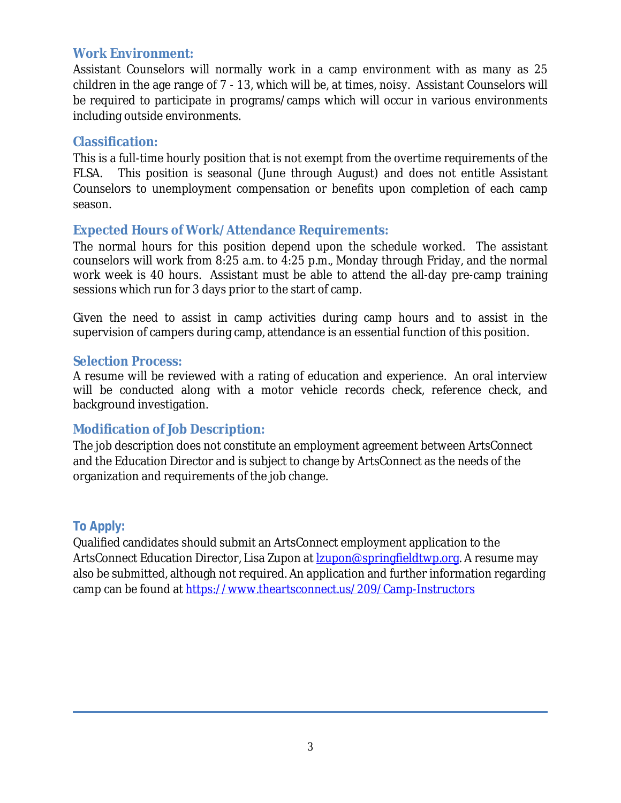#### **Work Environment:**

Assistant Counselors will normally work in a camp environment with as many as 25 children in the age range of 7 - 13, which will be, at times, noisy. Assistant Counselors will be required to participate in programs/camps which will occur in various environments including outside environments.

#### **Classification:**

This is a full-time hourly position that is not exempt from the overtime requirements of the FLSA. This position is seasonal (June through August) and does not entitle Assistant Counselors to unemployment compensation or benefits upon completion of each camp season.

## **Expected Hours of Work/Attendance Requirements:**

The normal hours for this position depend upon the schedule worked. The assistant counselors will work from 8:25 a.m. to 4:25 p.m., Monday through Friday, and the normal work week is 40 hours. Assistant must be able to attend the all-day pre-camp training sessions which run for 3 days prior to the start of camp.

Given the need to assist in camp activities during camp hours and to assist in the supervision of campers during camp, attendance is an essential function of this position.

#### **Selection Process:**

A resume will be reviewed with a rating of education and experience. An oral interview will be conducted along with a motor vehicle records check, reference check, and background investigation.

## **Modification of Job Description:**

The job description does not constitute an employment agreement between ArtsConnect and the Education Director and is subject to change by ArtsConnect as the needs of the organization and requirements of the job change.

## **To Apply:**

Qualified candidates should submit an ArtsConnect employment application to the ArtsConnect Education Director, Lisa Zupon at **<u>Izupon@springfieldtwp.org</u>**. A resume may also be submitted, although not required. An application and further information regarding camp can be found at<https://www.theartsconnect.us/209/Camp-Instructors>